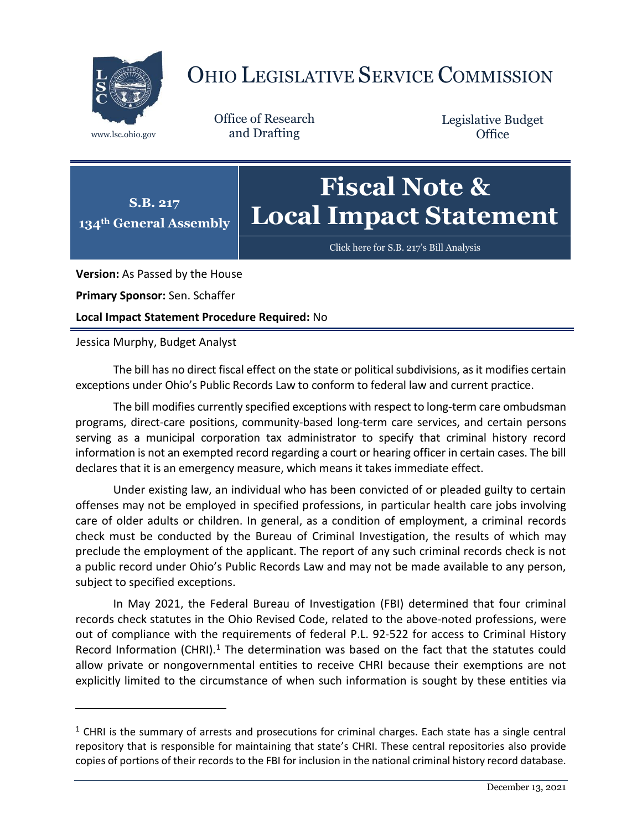

## OHIO LEGISLATIVE SERVICE COMMISSION

Office of Research www.lsc.ohio.gov and Drafting

Legislative Budget **Office** 

## **S.B. 217 134th General Assembly Fiscal Note & Local Impact Statement**

[Click here for S.B. 217](https://www.legislature.ohio.gov/legislation/legislation-documents?id=GA134-SB-217)'s Bill Analysis

**Version:** As Passed by the House

**Primary Sponsor:** Sen. Schaffer

**Local Impact Statement Procedure Required:** No

Jessica Murphy, Budget Analyst

 $\overline{a}$ 

The bill has no direct fiscal effect on the state or political subdivisions, as it modifies certain exceptions under Ohio's Public Records Law to conform to federal law and current practice.

The bill modifies currently specified exceptions with respect to long-term care ombudsman programs, direct-care positions, community-based long-term care services, and certain persons serving as a municipal corporation tax administrator to specify that criminal history record information is not an exempted record regarding a court or hearing officer in certain cases. The bill declares that it is an emergency measure, which means it takes immediate effect.

Under existing law, an individual who has been convicted of or pleaded guilty to certain offenses may not be employed in specified professions, in particular health care jobs involving care of older adults or children. In general, as a condition of employment, a criminal records check must be conducted by the Bureau of Criminal Investigation, the results of which may preclude the employment of the applicant. The report of any such criminal records check is not a public record under Ohio's Public Records Law and may not be made available to any person, subject to specified exceptions.

In May 2021, the Federal Bureau of Investigation (FBI) determined that four criminal records check statutes in the Ohio Revised Code, related to the above-noted professions, were out of compliance with the requirements of federal P.L. 92-522 for access to Criminal History Record Information (CHRI).<sup>1</sup> The determination was based on the fact that the statutes could allow private or nongovernmental entities to receive CHRI because their exemptions are not explicitly limited to the circumstance of when such information is sought by these entities via

 $<sup>1</sup>$  CHRI is the summary of arrests and prosecutions for criminal charges. Each state has a single central</sup> repository that is responsible for maintaining that state's CHRI. These central repositories also provide copies of portions of their records to the FBI for inclusion in the national criminal history record database.